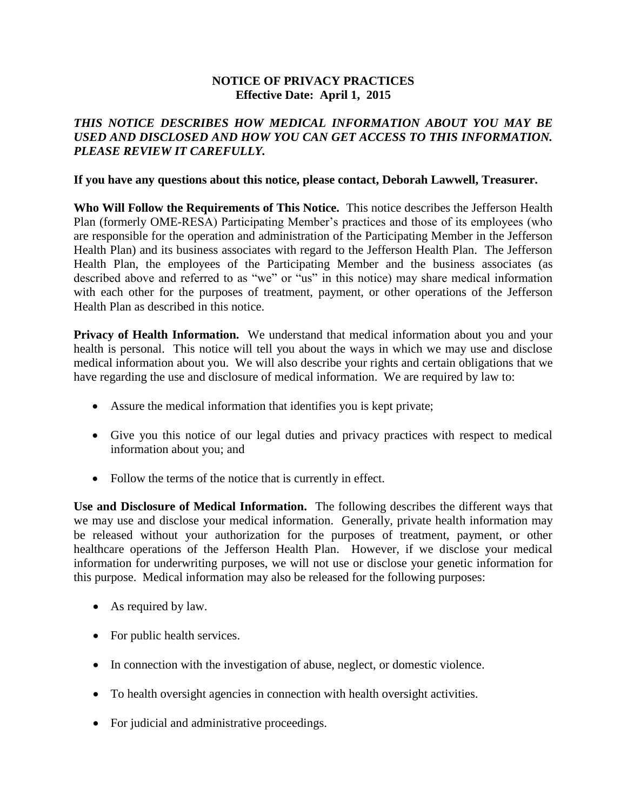## **NOTICE OF PRIVACY PRACTICES Effective Date: April 1, 2015**

## *THIS NOTICE DESCRIBES HOW MEDICAL INFORMATION ABOUT YOU MAY BE USED AND DISCLOSED AND HOW YOU CAN GET ACCESS TO THIS INFORMATION. PLEASE REVIEW IT CAREFULLY.*

## **If you have any questions about this notice, please contact, Deborah Lawwell, Treasurer.**

**Who Will Follow the Requirements of This Notice.** This notice describes the Jefferson Health Plan (formerly OME-RESA) Participating Member's practices and those of its employees (who are responsible for the operation and administration of the Participating Member in the Jefferson Health Plan) and its business associates with regard to the Jefferson Health Plan. The Jefferson Health Plan, the employees of the Participating Member and the business associates (as described above and referred to as "we" or "us" in this notice) may share medical information with each other for the purposes of treatment, payment, or other operations of the Jefferson Health Plan as described in this notice.

**Privacy of Health Information.** We understand that medical information about you and your health is personal. This notice will tell you about the ways in which we may use and disclose medical information about you. We will also describe your rights and certain obligations that we have regarding the use and disclosure of medical information. We are required by law to:

- Assure the medical information that identifies you is kept private;
- Give you this notice of our legal duties and privacy practices with respect to medical information about you; and
- Follow the terms of the notice that is currently in effect.

**Use and Disclosure of Medical Information.** The following describes the different ways that we may use and disclose your medical information. Generally, private health information may be released without your authorization for the purposes of treatment, payment, or other healthcare operations of the Jefferson Health Plan. However, if we disclose your medical information for underwriting purposes, we will not use or disclose your genetic information for this purpose. Medical information may also be released for the following purposes:

- As required by law.
- For public health services.
- In connection with the investigation of abuse, neglect, or domestic violence.
- To health oversight agencies in connection with health oversight activities.
- For judicial and administrative proceedings.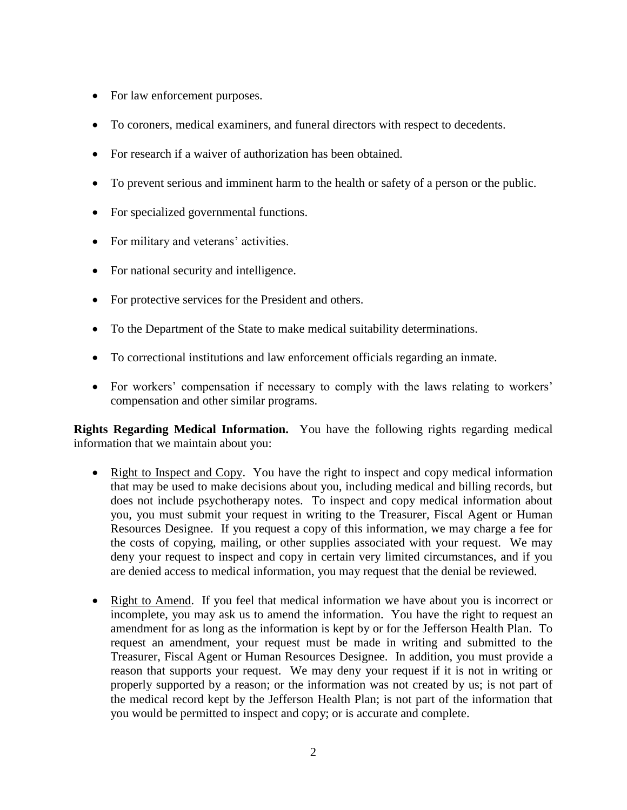- For law enforcement purposes.
- To coroners, medical examiners, and funeral directors with respect to decedents.
- For research if a waiver of authorization has been obtained.
- To prevent serious and imminent harm to the health or safety of a person or the public.
- For specialized governmental functions.
- For military and veterans' activities.
- For national security and intelligence.
- For protective services for the President and others.
- To the Department of the State to make medical suitability determinations.
- To correctional institutions and law enforcement officials regarding an inmate.
- For workers' compensation if necessary to comply with the laws relating to workers' compensation and other similar programs.

**Rights Regarding Medical Information.** You have the following rights regarding medical information that we maintain about you:

- Right to Inspect and Copy. You have the right to inspect and copy medical information that may be used to make decisions about you, including medical and billing records, but does not include psychotherapy notes. To inspect and copy medical information about you, you must submit your request in writing to the Treasurer, Fiscal Agent or Human Resources Designee. If you request a copy of this information, we may charge a fee for the costs of copying, mailing, or other supplies associated with your request. We may deny your request to inspect and copy in certain very limited circumstances, and if you are denied access to medical information, you may request that the denial be reviewed.
- Right to Amend. If you feel that medical information we have about you is incorrect or incomplete, you may ask us to amend the information. You have the right to request an amendment for as long as the information is kept by or for the Jefferson Health Plan. To request an amendment, your request must be made in writing and submitted to the Treasurer, Fiscal Agent or Human Resources Designee. In addition, you must provide a reason that supports your request. We may deny your request if it is not in writing or properly supported by a reason; or the information was not created by us; is not part of the medical record kept by the Jefferson Health Plan; is not part of the information that you would be permitted to inspect and copy; or is accurate and complete.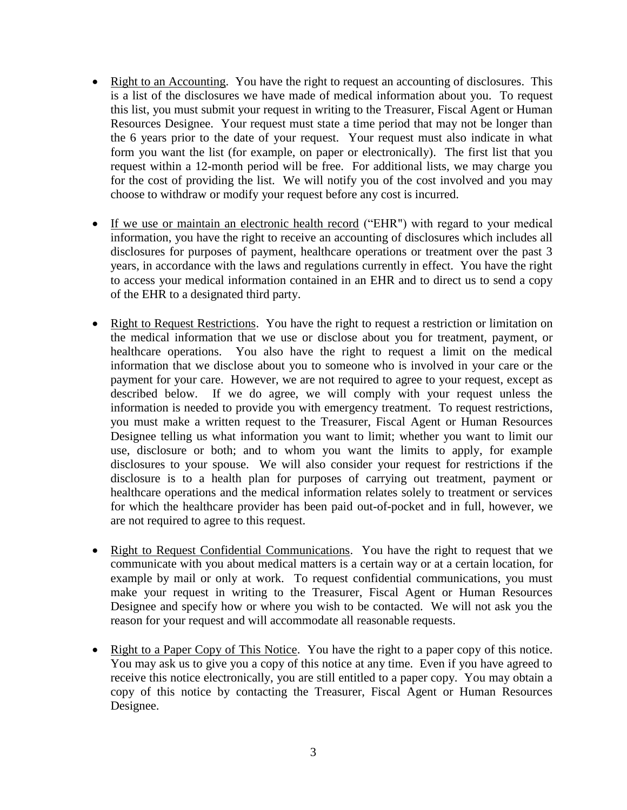- Right to an Accounting. You have the right to request an accounting of disclosures. This is a list of the disclosures we have made of medical information about you. To request this list, you must submit your request in writing to the Treasurer, Fiscal Agent or Human Resources Designee. Your request must state a time period that may not be longer than the 6 years prior to the date of your request. Your request must also indicate in what form you want the list (for example, on paper or electronically). The first list that you request within a 12-month period will be free. For additional lists, we may charge you for the cost of providing the list. We will notify you of the cost involved and you may choose to withdraw or modify your request before any cost is incurred.
- If we use or maintain an electronic health record ("EHR") with regard to your medical information, you have the right to receive an accounting of disclosures which includes all disclosures for purposes of payment, healthcare operations or treatment over the past 3 years, in accordance with the laws and regulations currently in effect. You have the right to access your medical information contained in an EHR and to direct us to send a copy of the EHR to a designated third party.
- Right to Request Restrictions. You have the right to request a restriction or limitation on the medical information that we use or disclose about you for treatment, payment, or healthcare operations. You also have the right to request a limit on the medical information that we disclose about you to someone who is involved in your care or the payment for your care. However, we are not required to agree to your request, except as described below. If we do agree, we will comply with your request unless the information is needed to provide you with emergency treatment. To request restrictions, you must make a written request to the Treasurer, Fiscal Agent or Human Resources Designee telling us what information you want to limit; whether you want to limit our use, disclosure or both; and to whom you want the limits to apply, for example disclosures to your spouse. We will also consider your request for restrictions if the disclosure is to a health plan for purposes of carrying out treatment, payment or healthcare operations and the medical information relates solely to treatment or services for which the healthcare provider has been paid out-of-pocket and in full, however, we are not required to agree to this request.
- Right to Request Confidential Communications. You have the right to request that we communicate with you about medical matters is a certain way or at a certain location, for example by mail or only at work. To request confidential communications, you must make your request in writing to the Treasurer, Fiscal Agent or Human Resources Designee and specify how or where you wish to be contacted. We will not ask you the reason for your request and will accommodate all reasonable requests.
- Right to a Paper Copy of This Notice. You have the right to a paper copy of this notice. You may ask us to give you a copy of this notice at any time. Even if you have agreed to receive this notice electronically, you are still entitled to a paper copy. You may obtain a copy of this notice by contacting the Treasurer, Fiscal Agent or Human Resources Designee.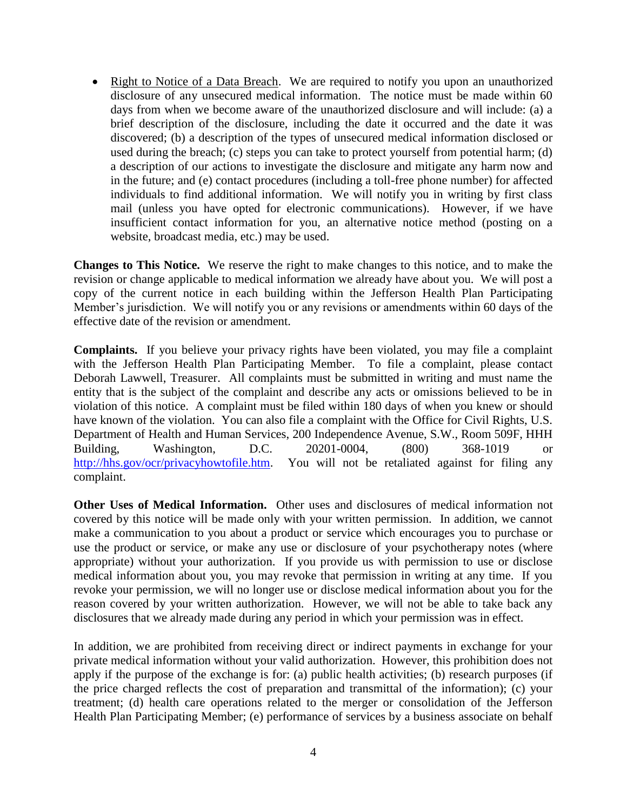• Right to Notice of a Data Breach. We are required to notify you upon an unauthorized disclosure of any unsecured medical information. The notice must be made within 60 days from when we become aware of the unauthorized disclosure and will include: (a) a brief description of the disclosure, including the date it occurred and the date it was discovered; (b) a description of the types of unsecured medical information disclosed or used during the breach; (c) steps you can take to protect yourself from potential harm; (d) a description of our actions to investigate the disclosure and mitigate any harm now and in the future; and (e) contact procedures (including a toll-free phone number) for affected individuals to find additional information. We will notify you in writing by first class mail (unless you have opted for electronic communications). However, if we have insufficient contact information for you, an alternative notice method (posting on a website, broadcast media, etc.) may be used.

**Changes to This Notice.** We reserve the right to make changes to this notice, and to make the revision or change applicable to medical information we already have about you. We will post a copy of the current notice in each building within the Jefferson Health Plan Participating Member's jurisdiction. We will notify you or any revisions or amendments within 60 days of the effective date of the revision or amendment.

**Complaints.** If you believe your privacy rights have been violated, you may file a complaint with the Jefferson Health Plan Participating Member. To file a complaint, please contact Deborah Lawwell, Treasurer. All complaints must be submitted in writing and must name the entity that is the subject of the complaint and describe any acts or omissions believed to be in violation of this notice. A complaint must be filed within 180 days of when you knew or should have known of the violation. You can also file a complaint with the Office for Civil Rights, U.S. Department of Health and Human Services, 200 Independence Avenue, S.W., Room 509F, HHH Building, Washington, D.C. 20201-0004, (800) 368-1019 or [http://hhs.gov/ocr/privacyhowtofile.htm.](http://hhs.gov/ocr/privacyhowtofile.htm) You will not be retaliated against for filing any complaint.

**Other Uses of Medical Information.** Other uses and disclosures of medical information not covered by this notice will be made only with your written permission. In addition, we cannot make a communication to you about a product or service which encourages you to purchase or use the product or service, or make any use or disclosure of your psychotherapy notes (where appropriate) without your authorization. If you provide us with permission to use or disclose medical information about you, you may revoke that permission in writing at any time. If you revoke your permission, we will no longer use or disclose medical information about you for the reason covered by your written authorization. However, we will not be able to take back any disclosures that we already made during any period in which your permission was in effect.

In addition, we are prohibited from receiving direct or indirect payments in exchange for your private medical information without your valid authorization. However, this prohibition does not apply if the purpose of the exchange is for: (a) public health activities; (b) research purposes (if the price charged reflects the cost of preparation and transmittal of the information); (c) your treatment; (d) health care operations related to the merger or consolidation of the Jefferson Health Plan Participating Member; (e) performance of services by a business associate on behalf